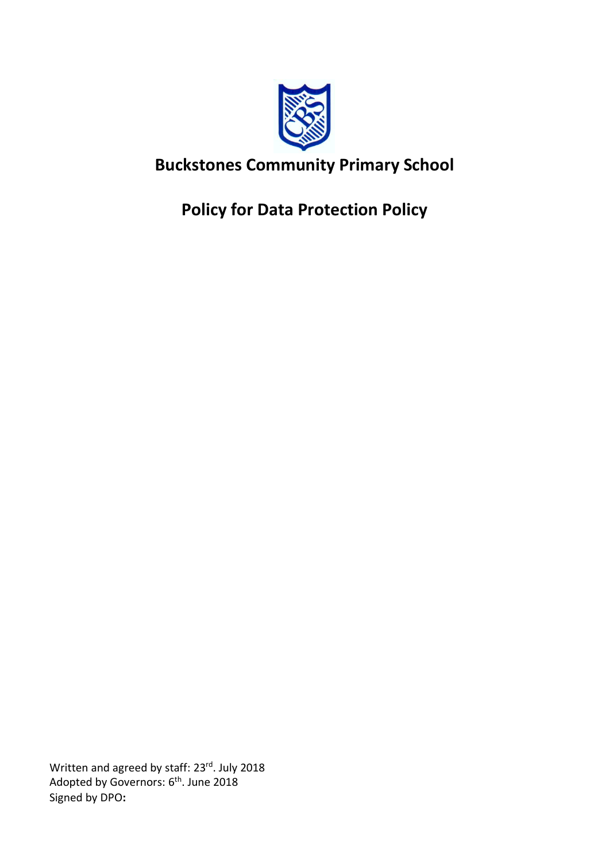

# **Buckstones Community Primary School**

**Policy for Data Protection Policy**

Written and agreed by staff: 23rd. July 2018 Adopted by Governors: 6<sup>th</sup>. June 2018 Signed by DPO**:**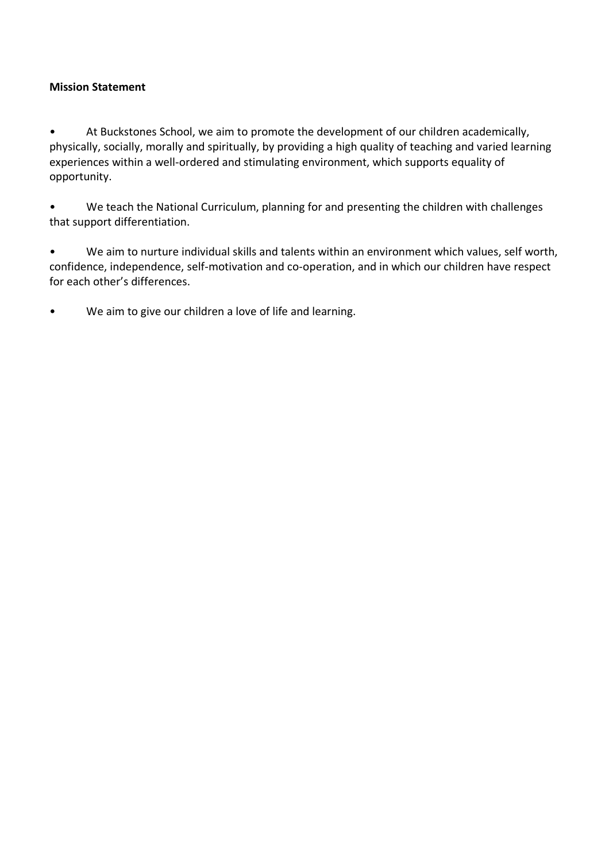### **Mission Statement**

• At Buckstones School, we aim to promote the development of our children academically, physically, socially, morally and spiritually, by providing a high quality of teaching and varied learning experiences within a well-ordered and stimulating environment, which supports equality of opportunity.

• We teach the National Curriculum, planning for and presenting the children with challenges that support differentiation.

• We aim to nurture individual skills and talents within an environment which values, self worth, confidence, independence, self-motivation and co-operation, and in which our children have respect for each other's differences.

• We aim to give our children a love of life and learning.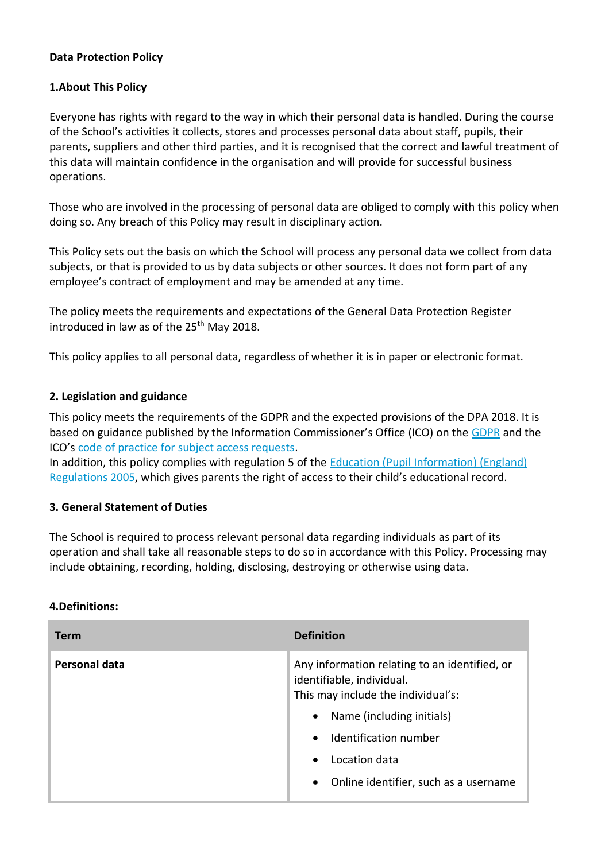### **Data Protection Policy**

### **1.About This Policy**

Everyone has rights with regard to the way in which their personal data is handled. During the course of the School's activities it collects, stores and processes personal data about staff, pupils, their parents, suppliers and other third parties, and it is recognised that the correct and lawful treatment of this data will maintain confidence in the organisation and will provide for successful business operations.

Those who are involved in the processing of personal data are obliged to comply with this policy when doing so. Any breach of this Policy may result in disciplinary action.

This Policy sets out the basis on which the School will process any personal data we collect from data subjects, or that is provided to us by data subjects or other sources. It does not form part of any employee's contract of employment and may be amended at any time.

The policy meets the requirements and expectations of the General Data Protection Register introduced in law as of the  $25<sup>th</sup>$  May 2018.

This policy applies to all personal data, regardless of whether it is in paper or electronic format.

### **2. Legislation and guidance**

This policy meets the requirements of the GDPR and the expected provisions of the DPA 2018. It is based on guidance published by the Information Commissioner's Office (ICO) on the [GDPR](https://ico.org.uk/for-organisations/guide-to-the-general-data-protection-regulation-gdpr/) and the ICO's [code of practice for subject access requests.](https://ico.org.uk/media/for-organisations/documents/2014223/subject-access-code-of-practice.pdf)

In addition, this policy complies with regulation 5 of the [Education \(Pupil Information\) \(England\)](http://www.legislation.gov.uk/uksi/2005/1437/regulation/5/made)  [Regulations 2005](http://www.legislation.gov.uk/uksi/2005/1437/regulation/5/made), which gives parents the right of access to their child's educational record.

### **3. General Statement of Duties**

The School is required to process relevant personal data regarding individuals as part of its operation and shall take all reasonable steps to do so in accordance with this Policy. Processing may include obtaining, recording, holding, disclosing, destroying or otherwise using data.

### **4.Definitions:**

| Term          | <b>Definition</b>                                                                                                                                                                                                                                                         |
|---------------|---------------------------------------------------------------------------------------------------------------------------------------------------------------------------------------------------------------------------------------------------------------------------|
| Personal data | Any information relating to an identified, or<br>identifiable, individual.<br>This may include the individual's:<br>Name (including initials)<br>$\bullet$<br>Identification number<br>$\bullet$<br>Location data<br>$\bullet$<br>• Online identifier, such as a username |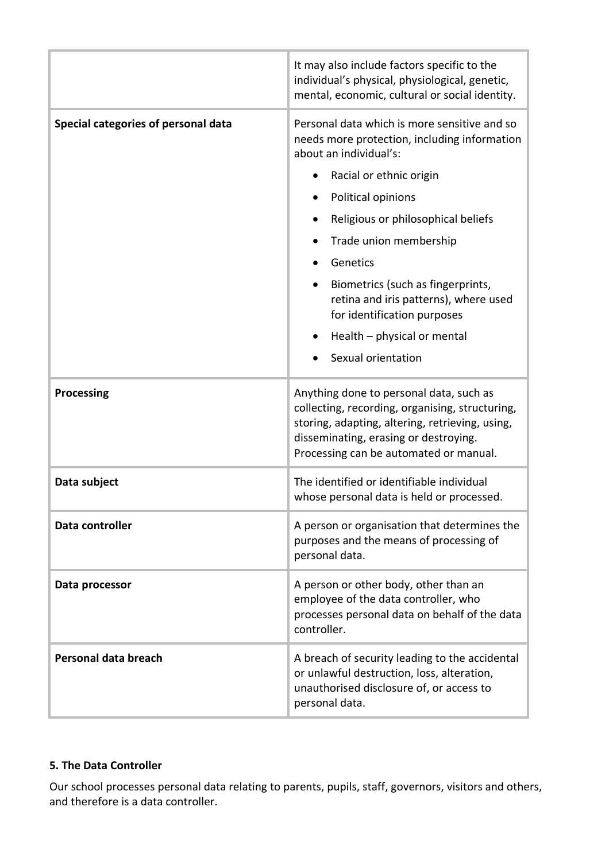|                                     | It may also include factors specific to the<br>individual's physical, physiological, genetic,<br>mental, economic, cultural or social identity.                                                                                                                                                                                                                                                                       |
|-------------------------------------|-----------------------------------------------------------------------------------------------------------------------------------------------------------------------------------------------------------------------------------------------------------------------------------------------------------------------------------------------------------------------------------------------------------------------|
| Special categories of personal data | Personal data which is more sensitive and so<br>needs more protection, including information<br>about an individual's:<br>Racial or ethnic origin<br>Political opinions<br>Religious or philosophical beliefs<br>Trade union membership<br>Genetics<br>Biometrics (such as fingerprints,<br>retina and iris patterns), where used<br>for identification purposes<br>Health - physical or mental<br>Sexual orientation |
| <b>Processing</b>                   | Anything done to personal data, such as<br>collecting, recording, organising, structuring,<br>storing, adapting, altering, retrieving, using,<br>disseminating, erasing or destroying.<br>Processing can be automated or manual.                                                                                                                                                                                      |
| Data subject                        | The identified or identifiable individual<br>whose personal data is held or processed.                                                                                                                                                                                                                                                                                                                                |
| Data controller                     | A person or organisation that determines the<br>purposes and the means of processing of<br>personal data.                                                                                                                                                                                                                                                                                                             |
| Data processor                      | A person or other body, other than an<br>employee of the data controller, who<br>processes personal data on behalf of the data<br>controller.                                                                                                                                                                                                                                                                         |
| Personal data breach                | A breach of security leading to the accidental<br>or unlawful destruction, loss, alteration,<br>unauthorised disclosure of, or access to<br>personal data.                                                                                                                                                                                                                                                            |

# **5. The Data Controller**

Our school processes personal data relating to parents, pupils, staff, governors, visitors and others, and therefore is a data controller.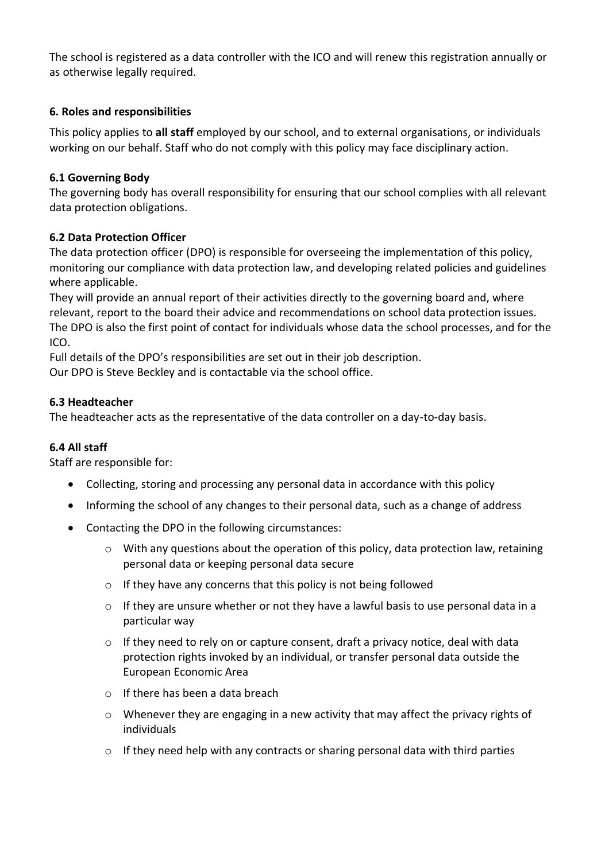The school is registered as a data controller with the ICO and will renew this registration annually or as otherwise legally required.

### **6. Roles and responsibilities**

This policy applies to **all staff** employed by our school, and to external organisations, or individuals working on our behalf. Staff who do not comply with this policy may face disciplinary action.

### **6.1 Governing Body**

The governing body has overall responsibility for ensuring that our school complies with all relevant data protection obligations.

### **6.2 Data Protection Officer**

The data protection officer (DPO) is responsible for overseeing the implementation of this policy, monitoring our compliance with data protection law, and developing related policies and guidelines where applicable.

They will provide an annual report of their activities directly to the governing board and, where relevant, report to the board their advice and recommendations on school data protection issues. The DPO is also the first point of contact for individuals whose data the school processes, and for the ICO.

Full details of the DPO's responsibilities are set out in their job description.

Our DPO is Steve Beckley and is contactable via the school office.

### **6.3 Headteacher**

The headteacher acts as the representative of the data controller on a day-to-day basis.

### **6.4 All staff**

Staff are responsible for:

- Collecting, storing and processing any personal data in accordance with this policy
- Informing the school of any changes to their personal data, such as a change of address
- Contacting the DPO in the following circumstances:
	- $\circ$  With any questions about the operation of this policy, data protection law, retaining personal data or keeping personal data secure
	- $\circ$  If they have any concerns that this policy is not being followed
	- o If they are unsure whether or not they have a lawful basis to use personal data in a particular way
	- $\circ$  If they need to rely on or capture consent, draft a privacy notice, deal with data protection rights invoked by an individual, or transfer personal data outside the European Economic Area
	- o If there has been a data breach
	- $\circ$  Whenever they are engaging in a new activity that may affect the privacy rights of individuals
	- $\circ$  If they need help with any contracts or sharing personal data with third parties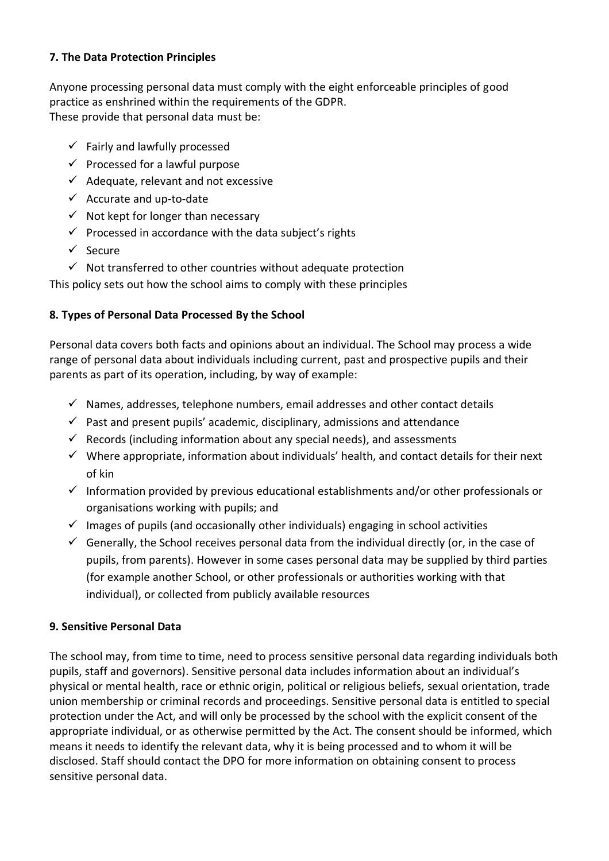### **7. The Data Protection Principles**

Anyone processing personal data must comply with the eight enforceable principles of good practice as enshrined within the requirements of the GDPR. These provide that personal data must be:

- $\checkmark$  Fairly and lawfully processed
- $\checkmark$  Processed for a lawful purpose
- $\checkmark$  Adequate, relevant and not excessive
- $\checkmark$  Accurate and up-to-date
- $\checkmark$  Not kept for longer than necessary
- $\checkmark$  Processed in accordance with the data subject's rights
- ✓ Secure
- $\checkmark$  Not transferred to other countries without adequate protection

This policy sets out how the school aims to comply with these principles

# **8. Types of Personal Data Processed By the School**

Personal data covers both facts and opinions about an individual. The School may process a wide range of personal data about individuals including current, past and prospective pupils and their parents as part of its operation, including, by way of example:

- $\checkmark$  Names, addresses, telephone numbers, email addresses and other contact details
- $\checkmark$  Past and present pupils' academic, disciplinary, admissions and attendance
- $\checkmark$  Records (including information about any special needs), and assessments
- $\checkmark$  Where appropriate, information about individuals' health, and contact details for their next of kin
- $\checkmark$  Information provided by previous educational establishments and/or other professionals or organisations working with pupils; and
- $\checkmark$  Images of pupils (and occasionally other individuals) engaging in school activities
- $\checkmark$  Generally, the School receives personal data from the individual directly (or, in the case of pupils, from parents). However in some cases personal data may be supplied by third parties (for example another School, or other professionals or authorities working with that individual), or collected from publicly available resources

# **9. Sensitive Personal Data**

The school may, from time to time, need to process sensitive personal data regarding individuals both pupils, staff and governors). Sensitive personal data includes information about an individual's physical or mental health, race or ethnic origin, political or religious beliefs, sexual orientation, trade union membership or criminal records and proceedings. Sensitive personal data is entitled to special protection under the Act, and will only be processed by the school with the explicit consent of the appropriate individual, or as otherwise permitted by the Act. The consent should be informed, which means it needs to identify the relevant data, why it is being processed and to whom it will be disclosed. Staff should contact the DPO for more information on obtaining consent to process sensitive personal data.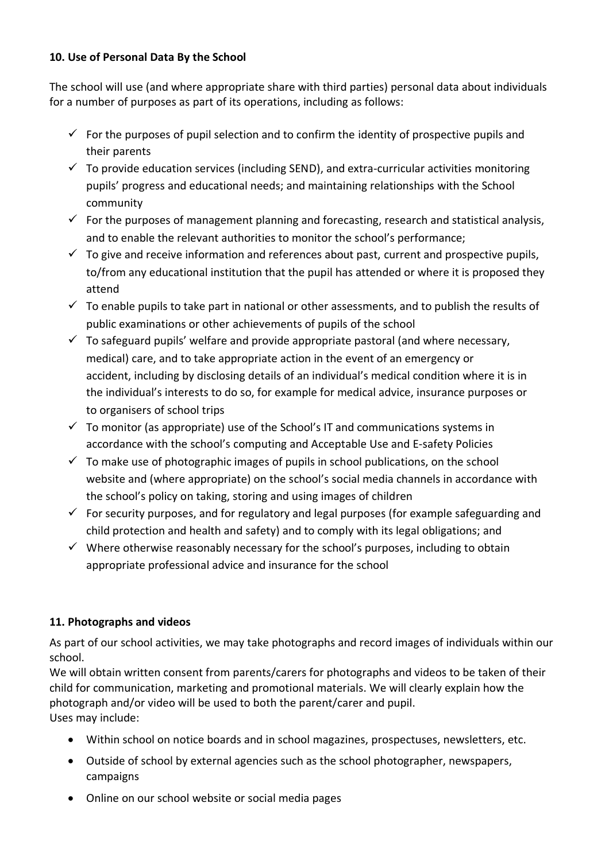### **10. Use of Personal Data By the School**

The school will use (and where appropriate share with third parties) personal data about individuals for a number of purposes as part of its operations, including as follows:

- $\checkmark$  For the purposes of pupil selection and to confirm the identity of prospective pupils and their parents
- $\checkmark$  To provide education services (including SEND), and extra-curricular activities monitoring pupils' progress and educational needs; and maintaining relationships with the School community
- $\checkmark$  For the purposes of management planning and forecasting, research and statistical analysis, and to enable the relevant authorities to monitor the school's performance;
- $\checkmark$  To give and receive information and references about past, current and prospective pupils, to/from any educational institution that the pupil has attended or where it is proposed they attend
- $\checkmark$  To enable pupils to take part in national or other assessments, and to publish the results of public examinations or other achievements of pupils of the school
- $\checkmark$  To safeguard pupils' welfare and provide appropriate pastoral (and where necessary, medical) care, and to take appropriate action in the event of an emergency or accident, including by disclosing details of an individual's medical condition where it is in the individual's interests to do so, for example for medical advice, insurance purposes or to organisers of school trips
- $\checkmark$  To monitor (as appropriate) use of the School's IT and communications systems in accordance with the school's computing and Acceptable Use and E-safety Policies
- $\checkmark$  To make use of photographic images of pupils in school publications, on the school website and (where appropriate) on the school's social media channels in accordance with the school's policy on taking, storing and using images of children
- $\checkmark$  For security purposes, and for regulatory and legal purposes (for example safeguarding and child protection and health and safety) and to comply with its legal obligations; and
- $\checkmark$  Where otherwise reasonably necessary for the school's purposes, including to obtain appropriate professional advice and insurance for the school

# **11. Photographs and videos**

As part of our school activities, we may take photographs and record images of individuals within our school.

We will obtain written consent from parents/carers for photographs and videos to be taken of their child for communication, marketing and promotional materials. We will clearly explain how the photograph and/or video will be used to both the parent/carer and pupil. Uses may include:

- Within school on notice boards and in school magazines, prospectuses, newsletters, etc.
- Outside of school by external agencies such as the school photographer, newspapers, campaigns
- Online on our school website or social media pages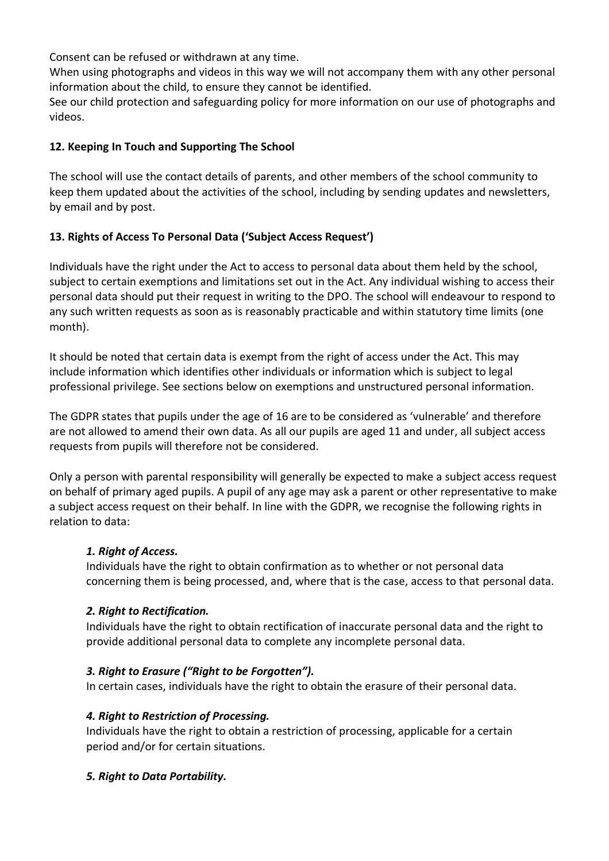Consent can be refused or withdrawn at any time.

When using photographs and videos in this way we will not accompany them with any other personal information about the child, to ensure they cannot be identified.

See our child protection and safeguarding policy for more information on our use of photographs and videos.

### **12. Keeping In Touch and Supporting The School**

The school will use the contact details of parents, and other members of the school community to keep them updated about the activities of the school, including by sending updates and newsletters, by email and by post.

### **13. Rights of Access To Personal Data ('Subject Access Request')**

Individuals have the right under the Act to access to personal data about them held by the school, subject to certain exemptions and limitations set out in the Act. Any individual wishing to access their personal data should put their request in writing to the DPO. The school will endeavour to respond to any such written requests as soon as is reasonably practicable and within statutory time limits (one month).

It should be noted that certain data is exempt from the right of access under the Act. This may include information which identifies other individuals or information which is subject to legal professional privilege. See sections below on exemptions and unstructured personal information.

The GDPR states that pupils under the age of 16 are to be considered as 'vulnerable' and therefore are not allowed to amend their own data. As all our pupils are aged 11 and under, all subject access requests from pupils will therefore not be considered.

Only a person with parental responsibility will generally be expected to make a subject access request on behalf of primary aged pupils. A pupil of any age may ask a parent or other representative to make a subject access request on their behalf. In line with the GDPR, we recognise the following rights in relation to data:

### *1. Right of Access.*

Individuals have the right to obtain confirmation as to whether or not personal data concerning them is being processed, and, where that is the case, access to that personal data.

### *2. Right to Rectification.*

Individuals have the right to obtain rectification of inaccurate personal data and the right to provide additional personal data to complete any incomplete personal data.

### *3. Right to Erasure ("Right to be Forgotten").*

In certain cases, individuals have the right to obtain the erasure of their personal data.

### *4. Right to Restriction of Processing.*

Individuals have the right to obtain a restriction of processing, applicable for a certain period and/or for certain situations.

### *5. Right to Data Portability.*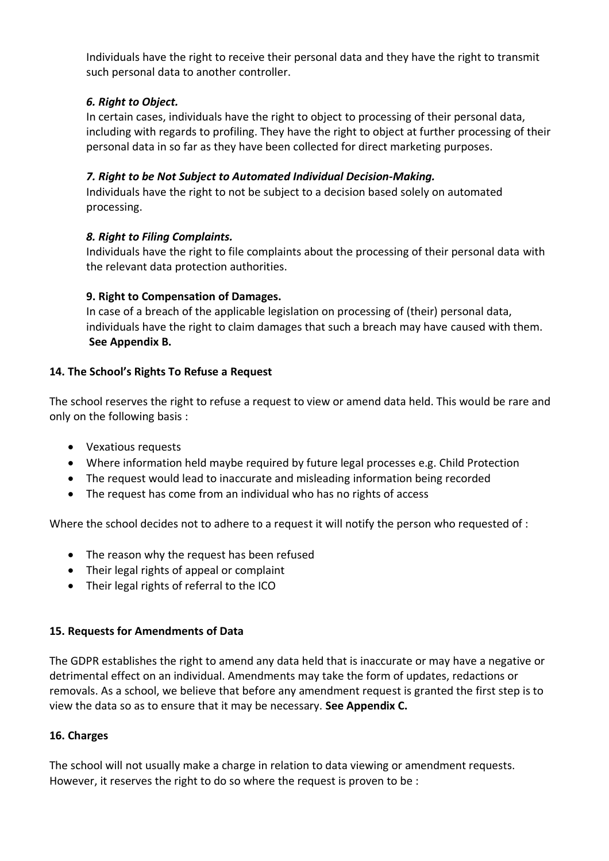Individuals have the right to receive their personal data and they have the right to transmit such personal data to another controller.

### *6. Right to Object.*

In certain cases, individuals have the right to object to processing of their personal data, including with regards to profiling. They have the right to object at further processing of their personal data in so far as they have been collected for direct marketing purposes.

### *7. Right to be Not Subject to Automated Individual Decision-Making.*

Individuals have the right to not be subject to a decision based solely on automated processing.

### *8. Right to Filing Complaints.*

Individuals have the right to file complaints about the processing of their personal data with the relevant data protection authorities.

### **9. Right to Compensation of Damages.**

In case of a breach of the applicable legislation on processing of (their) personal data, individuals have the right to claim damages that such a breach may have caused with them. **See Appendix B.**

### **14. The School's Rights To Refuse a Request**

The school reserves the right to refuse a request to view or amend data held. This would be rare and only on the following basis :

- Vexatious requests
- Where information held maybe required by future legal processes e.g. Child Protection
- The request would lead to inaccurate and misleading information being recorded
- The request has come from an individual who has no rights of access

Where the school decides not to adhere to a request it will notify the person who requested of :

- The reason why the request has been refused
- Their legal rights of appeal or complaint
- Their legal rights of referral to the ICO

# **15. Requests for Amendments of Data**

The GDPR establishes the right to amend any data held that is inaccurate or may have a negative or detrimental effect on an individual. Amendments may take the form of updates, redactions or removals. As a school, we believe that before any amendment request is granted the first step is to view the data so as to ensure that it may be necessary. **See Appendix C.**

# **16. Charges**

The school will not usually make a charge in relation to data viewing or amendment requests. However, it reserves the right to do so where the request is proven to be :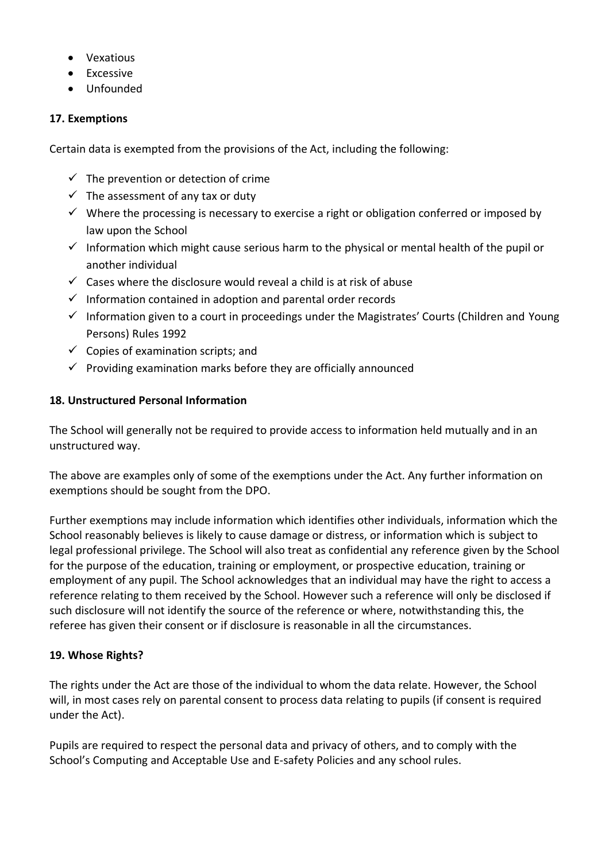- Vexatious
- Excessive
- Unfounded

# **17. Exemptions**

Certain data is exempted from the provisions of the Act, including the following:

- $\checkmark$  The prevention or detection of crime
- $\checkmark$  The assessment of any tax or duty
- $\checkmark$  Where the processing is necessary to exercise a right or obligation conferred or imposed by law upon the School
- $\checkmark$  Information which might cause serious harm to the physical or mental health of the pupil or another individual
- $\checkmark$  Cases where the disclosure would reveal a child is at risk of abuse
- $\checkmark$  Information contained in adoption and parental order records
- $\checkmark$  Information given to a court in proceedings under the Magistrates' Courts (Children and Young Persons) Rules 1992
- $\checkmark$  Copies of examination scripts; and
- $\checkmark$  Providing examination marks before they are officially announced

# **18. Unstructured Personal Information**

The School will generally not be required to provide access to information held mutually and in an unstructured way.

The above are examples only of some of the exemptions under the Act. Any further information on exemptions should be sought from the DPO.

Further exemptions may include information which identifies other individuals, information which the School reasonably believes is likely to cause damage or distress, or information which is subject to legal professional privilege. The School will also treat as confidential any reference given by the School for the purpose of the education, training or employment, or prospective education, training or employment of any pupil. The School acknowledges that an individual may have the right to access a reference relating to them received by the School. However such a reference will only be disclosed if such disclosure will not identify the source of the reference or where, notwithstanding this, the referee has given their consent or if disclosure is reasonable in all the circumstances.

# **19. Whose Rights?**

The rights under the Act are those of the individual to whom the data relate. However, the School will, in most cases rely on parental consent to process data relating to pupils (if consent is required under the Act).

Pupils are required to respect the personal data and privacy of others, and to comply with the School's Computing and Acceptable Use and E-safety Policies and any school rules.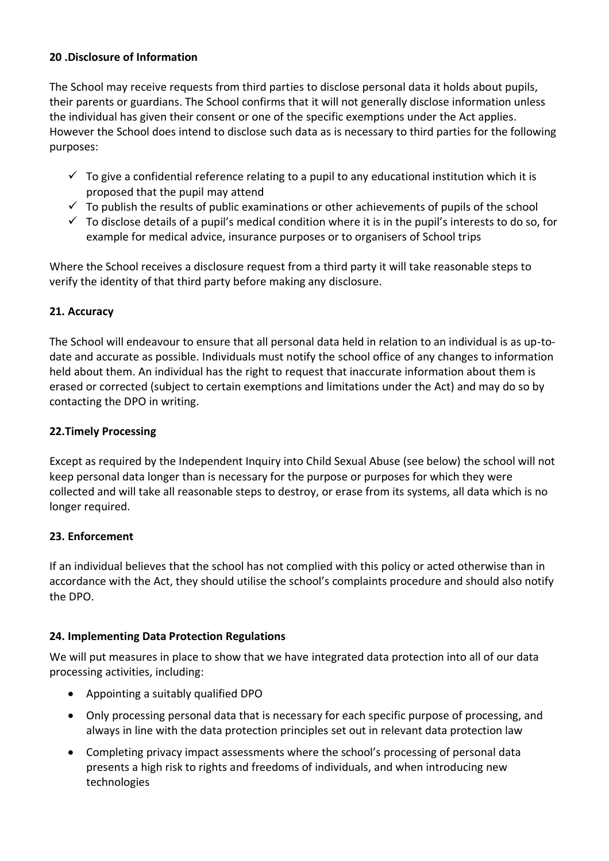### **20 .Disclosure of Information**

The School may receive requests from third parties to disclose personal data it holds about pupils, their parents or guardians. The School confirms that it will not generally disclose information unless the individual has given their consent or one of the specific exemptions under the Act applies. However the School does intend to disclose such data as is necessary to third parties for the following purposes:

- $\checkmark$  To give a confidential reference relating to a pupil to any educational institution which it is proposed that the pupil may attend
- $\checkmark$  To publish the results of public examinations or other achievements of pupils of the school
- $\checkmark$  To disclose details of a pupil's medical condition where it is in the pupil's interests to do so, for example for medical advice, insurance purposes or to organisers of School trips

Where the School receives a disclosure request from a third party it will take reasonable steps to verify the identity of that third party before making any disclosure.

### **21. Accuracy**

The School will endeavour to ensure that all personal data held in relation to an individual is as up-todate and accurate as possible. Individuals must notify the school office of any changes to information held about them. An individual has the right to request that inaccurate information about them is erased or corrected (subject to certain exemptions and limitations under the Act) and may do so by contacting the DPO in writing.

#### **22.Timely Processing**

Except as required by the Independent Inquiry into Child Sexual Abuse (see below) the school will not keep personal data longer than is necessary for the purpose or purposes for which they were collected and will take all reasonable steps to destroy, or erase from its systems, all data which is no longer required.

### **23. Enforcement**

If an individual believes that the school has not complied with this policy or acted otherwise than in accordance with the Act, they should utilise the school's complaints procedure and should also notify the DPO.

### **24. Implementing Data Protection Regulations**

We will put measures in place to show that we have integrated data protection into all of our data processing activities, including:

- Appointing a suitably qualified DPO
- Only processing personal data that is necessary for each specific purpose of processing, and always in line with the data protection principles set out in relevant data protection law
- Completing privacy impact assessments where the school's processing of personal data presents a high risk to rights and freedoms of individuals, and when introducing new technologies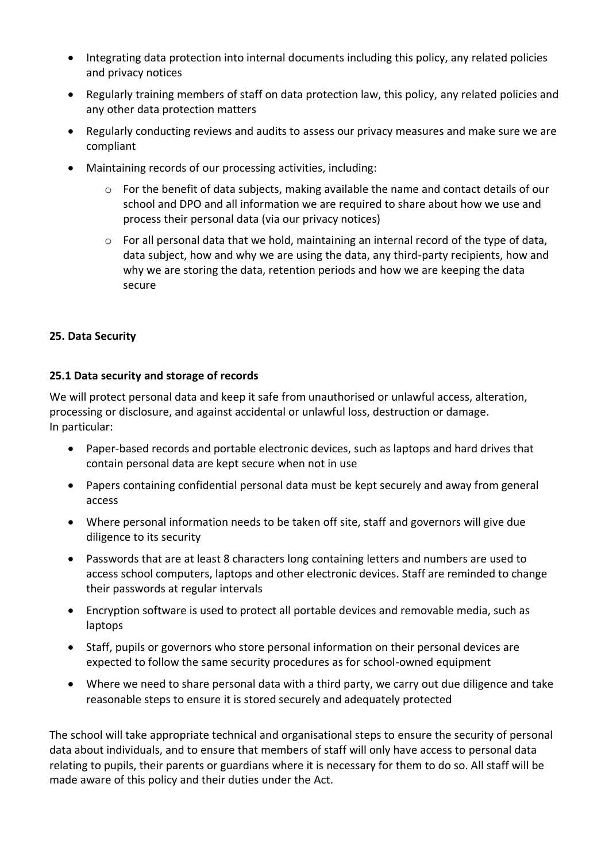- Integrating data protection into internal documents including this policy, any related policies and privacy notices
- Regularly training members of staff on data protection law, this policy, any related policies and any other data protection matters
- Regularly conducting reviews and audits to assess our privacy measures and make sure we are compliant
- Maintaining records of our processing activities, including:
	- $\circ$  For the benefit of data subjects, making available the name and contact details of our school and DPO and all information we are required to share about how we use and process their personal data (via our privacy notices)
	- $\circ$  For all personal data that we hold, maintaining an internal record of the type of data, data subject, how and why we are using the data, any third-party recipients, how and why we are storing the data, retention periods and how we are keeping the data secure

### **25. Data Security**

#### **25.1 Data security and storage of records**

We will protect personal data and keep it safe from unauthorised or unlawful access, alteration, processing or disclosure, and against accidental or unlawful loss, destruction or damage. In particular:

- Paper-based records and portable electronic devices, such as laptops and hard drives that contain personal data are kept secure when not in use
- Papers containing confidential personal data must be kept securely and away from general access
- Where personal information needs to be taken off site, staff and governors will give due diligence to its security
- Passwords that are at least 8 characters long containing letters and numbers are used to access school computers, laptops and other electronic devices. Staff are reminded to change their passwords at regular intervals
- Encryption software is used to protect all portable devices and removable media, such as laptops
- Staff, pupils or governors who store personal information on their personal devices are expected to follow the same security procedures as for school-owned equipment
- Where we need to share personal data with a third party, we carry out due diligence and take reasonable steps to ensure it is stored securely and adequately protected

The school will take appropriate technical and organisational steps to ensure the security of personal data about individuals, and to ensure that members of staff will only have access to personal data relating to pupils, their parents or guardians where it is necessary for them to do so. All staff will be made aware of this policy and their duties under the Act.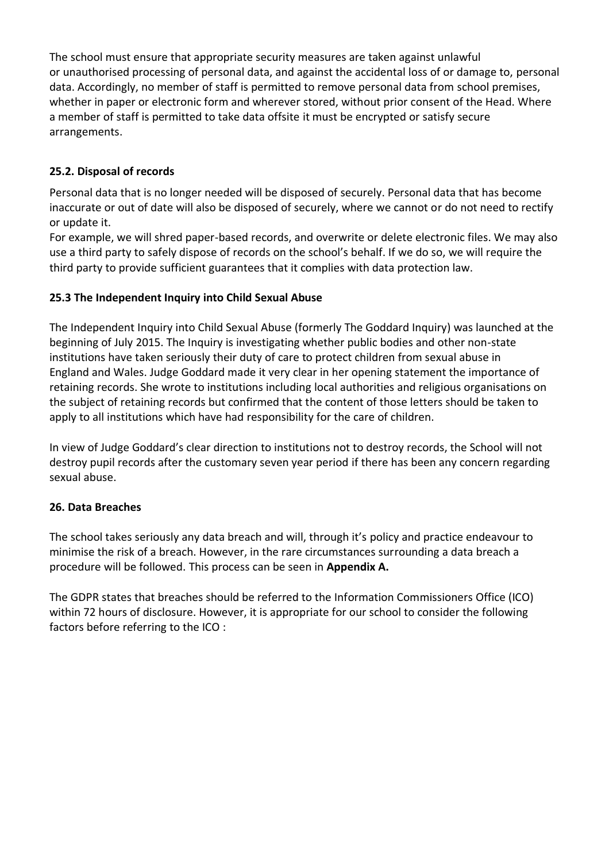The school must ensure that appropriate security measures are taken against unlawful or unauthorised processing of personal data, and against the accidental loss of or damage to, personal data. Accordingly, no member of staff is permitted to remove personal data from school premises, whether in paper or electronic form and wherever stored, without prior consent of the Head. Where a member of staff is permitted to take data offsite it must be encrypted or satisfy secure arrangements.

# **25.2. Disposal of records**

Personal data that is no longer needed will be disposed of securely. Personal data that has become inaccurate or out of date will also be disposed of securely, where we cannot or do not need to rectify or update it.

For example, we will shred paper-based records, and overwrite or delete electronic files. We may also use a third party to safely dispose of records on the school's behalf. If we do so, we will require the third party to provide sufficient guarantees that it complies with data protection law.

# **25.3 The Independent Inquiry into Child Sexual Abuse**

The Independent Inquiry into Child Sexual Abuse (formerly The Goddard Inquiry) was launched at the beginning of July 2015. The Inquiry is investigating whether public bodies and other non-state institutions have taken seriously their duty of care to protect children from sexual abuse in England and Wales. Judge Goddard made it very clear in her opening statement the importance of retaining records. She wrote to institutions including local authorities and religious organisations on the subject of retaining records but confirmed that the content of those letters should be taken to apply to all institutions which have had responsibility for the care of children.

In view of Judge Goddard's clear direction to institutions not to destroy records, the School will not destroy pupil records after the customary seven year period if there has been any concern regarding sexual abuse.

# **26. Data Breaches**

The school takes seriously any data breach and will, through it's policy and practice endeavour to minimise the risk of a breach. However, in the rare circumstances surrounding a data breach a procedure will be followed. This process can be seen in **Appendix A.**

The GDPR states that breaches should be referred to the Information Commissioners Office (ICO) within 72 hours of disclosure. However, it is appropriate for our school to consider the following factors before referring to the ICO :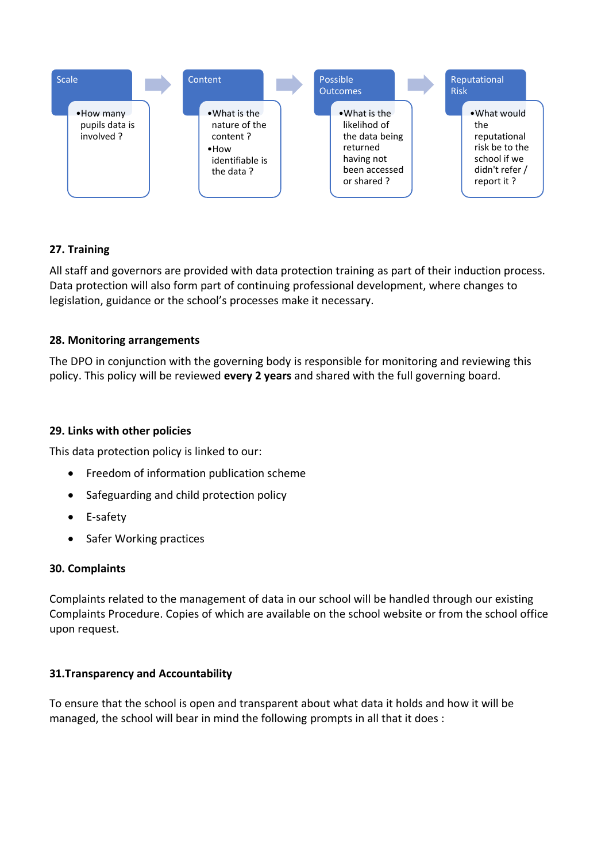

### **27. Training**

All staff and governors are provided with data protection training as part of their induction process. Data protection will also form part of continuing professional development, where changes to legislation, guidance or the school's processes make it necessary.

### **28. Monitoring arrangements**

The DPO in conjunction with the governing body is responsible for monitoring and reviewing this policy. This policy will be reviewed **every 2 years** and shared with the full governing board.

#### **29. Links with other policies**

This data protection policy is linked to our:

- Freedom of information publication scheme
- Safeguarding and child protection policy
- E-safety
- Safer Working practices

#### **30. Complaints**

Complaints related to the management of data in our school will be handled through our existing Complaints Procedure. Copies of which are available on the school website or from the school office upon request.

### **31.Transparency and Accountability**

To ensure that the school is open and transparent about what data it holds and how it will be managed, the school will bear in mind the following prompts in all that it does :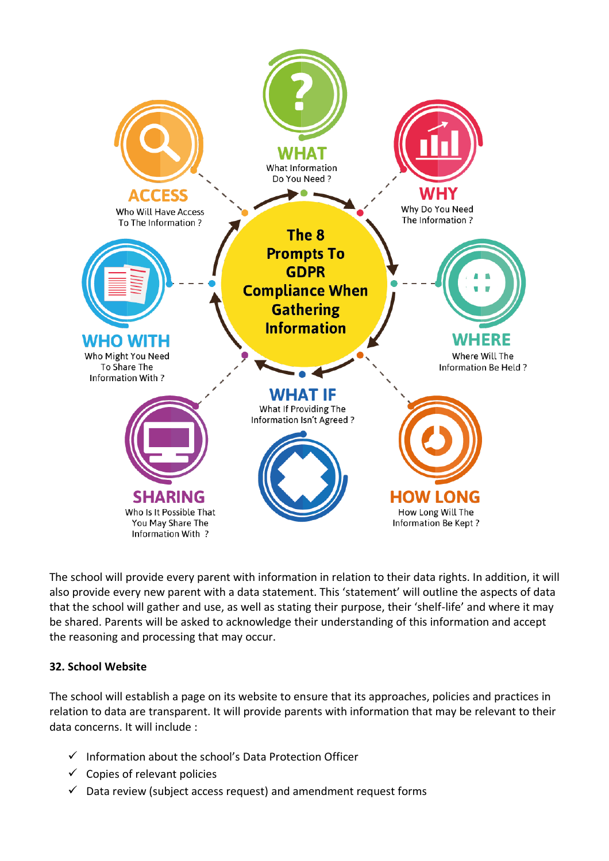

The school will provide every parent with information in relation to their data rights. In addition, it will also provide every new parent with a data statement. This 'statement' will outline the aspects of data that the school will gather and use, as well as stating their purpose, their 'shelf-life' and where it may be shared. Parents will be asked to acknowledge their understanding of this information and accept the reasoning and processing that may occur.

### **32. School Website**

The school will establish a page on its website to ensure that its approaches, policies and practices in relation to data are transparent. It will provide parents with information that may be relevant to their data concerns. It will include :

- ✓ Information about the school's Data Protection Officer
- $\checkmark$  Copies of relevant policies
- $\checkmark$  Data review (subject access request) and amendment request forms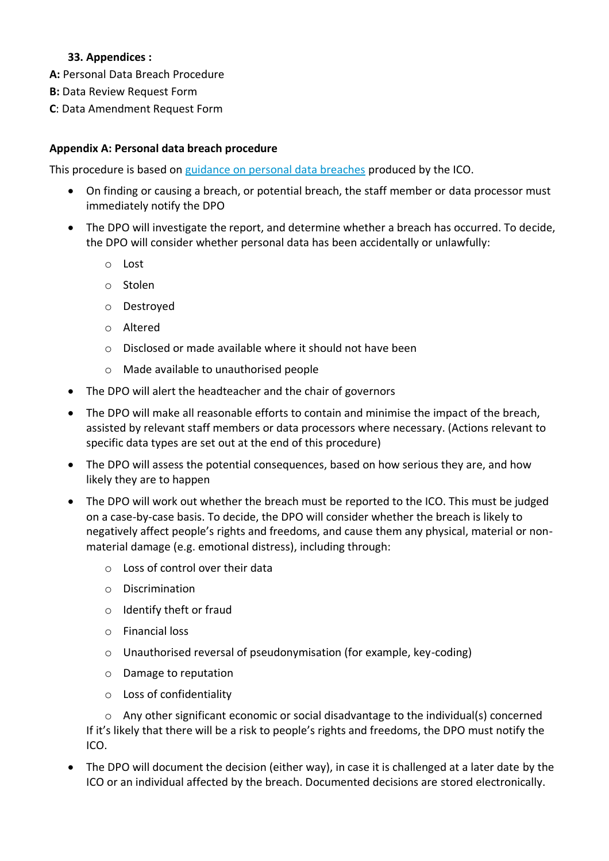### **33. Appendices :**

**A:** Personal Data Breach Procedure

- **B:** Data Review Request Form
- **C**: Data Amendment Request Form

### **Appendix A: Personal data breach procedure**

This procedure is based on [guidance on personal data breaches](https://ico.org.uk/for-organisations/guide-to-the-general-data-protection-regulation-gdpr/personal-data-breaches/) produced by the ICO.

- On finding or causing a breach, or potential breach, the staff member or data processor must immediately notify the DPO
- The DPO will investigate the report, and determine whether a breach has occurred. To decide, the DPO will consider whether personal data has been accidentally or unlawfully:
	- o Lost
	- o Stolen
	- o Destroyed
	- o Altered
	- o Disclosed or made available where it should not have been
	- o Made available to unauthorised people
- The DPO will alert the headteacher and the chair of governors
- The DPO will make all reasonable efforts to contain and minimise the impact of the breach, assisted by relevant staff members or data processors where necessary. (Actions relevant to specific data types are set out at the end of this procedure)
- The DPO will assess the potential consequences, based on how serious they are, and how likely they are to happen
- The DPO will work out whether the breach must be reported to the ICO. This must be judged on a case-by-case basis. To decide, the DPO will consider whether the breach is likely to negatively affect people's rights and freedoms, and cause them any physical, material or nonmaterial damage (e.g. emotional distress), including through:
	- o Loss of control over their data
	- o Discrimination
	- o Identify theft or fraud
	- o Financial loss
	- o Unauthorised reversal of pseudonymisation (for example, key-coding)
	- o Damage to reputation
	- o Loss of confidentiality

o Any other significant economic or social disadvantage to the individual(s) concerned If it's likely that there will be a risk to people's rights and freedoms, the DPO must notify the ICO.

• The DPO will document the decision (either way), in case it is challenged at a later date by the ICO or an individual affected by the breach. Documented decisions are stored electronically.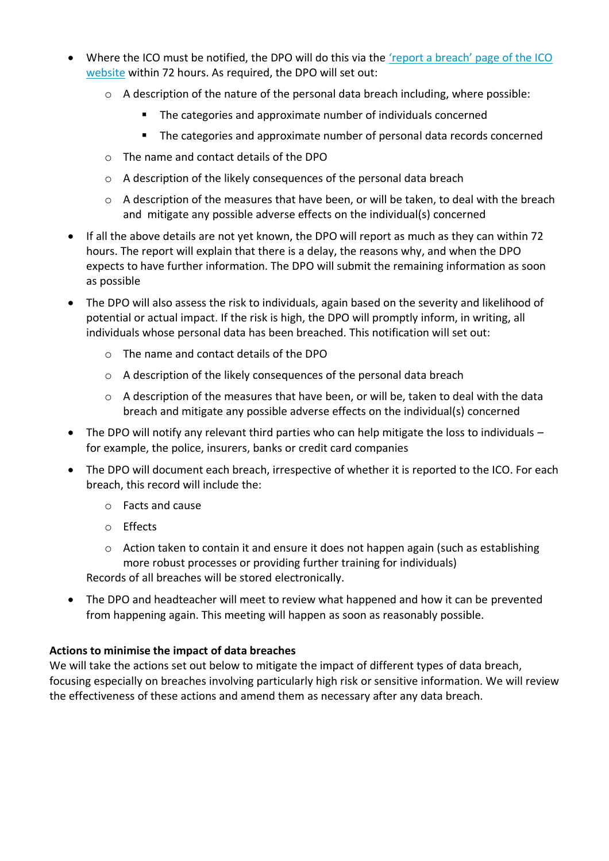- Where the ICO must be notified, the DPO will do this via the ['report a breach' page o](https://ico.org.uk/for-organisations/report-a-breach/)f the ICO [website](https://ico.org.uk/for-organisations/report-a-breach/) within 72 hours. As required, the DPO will set out:
	- $\circ$  A description of the nature of the personal data breach including, where possible:
		- The categories and approximate number of individuals concerned
		- The categories and approximate number of personal data records concerned
	- o The name and contact details of the DPO
	- o A description of the likely consequences of the personal data breach
	- o A description of the measures that have been, or will be taken, to deal with the breach and mitigate any possible adverse effects on the individual(s) concerned
- If all the above details are not yet known, the DPO will report as much as they can within 72 hours. The report will explain that there is a delay, the reasons why, and when the DPO expects to have further information. The DPO will submit the remaining information as soon as possible
- The DPO will also assess the risk to individuals, again based on the severity and likelihood of potential or actual impact. If the risk is high, the DPO will promptly inform, in writing, all individuals whose personal data has been breached. This notification will set out:
	- o The name and contact details of the DPO
	- o A description of the likely consequences of the personal data breach
	- o A description of the measures that have been, or will be, taken to deal with the data breach and mitigate any possible adverse effects on the individual(s) concerned
- The DPO will notify any relevant third parties who can help mitigate the loss to individuals for example, the police, insurers, banks or credit card companies
- The DPO will document each breach, irrespective of whether it is reported to the ICO. For each breach, this record will include the:
	- o Facts and cause
	- o Effects
	- o Action taken to contain it and ensure it does not happen again (such as establishing more robust processes or providing further training for individuals) Records of all breaches will be stored electronically.
- The DPO and headteacher will meet to review what happened and how it can be prevented from happening again. This meeting will happen as soon as reasonably possible.

# **Actions to minimise the impact of data breaches**

We will take the actions set out below to mitigate the impact of different types of data breach, focusing especially on breaches involving particularly high risk or sensitive information. We will review the effectiveness of these actions and amend them as necessary after any data breach.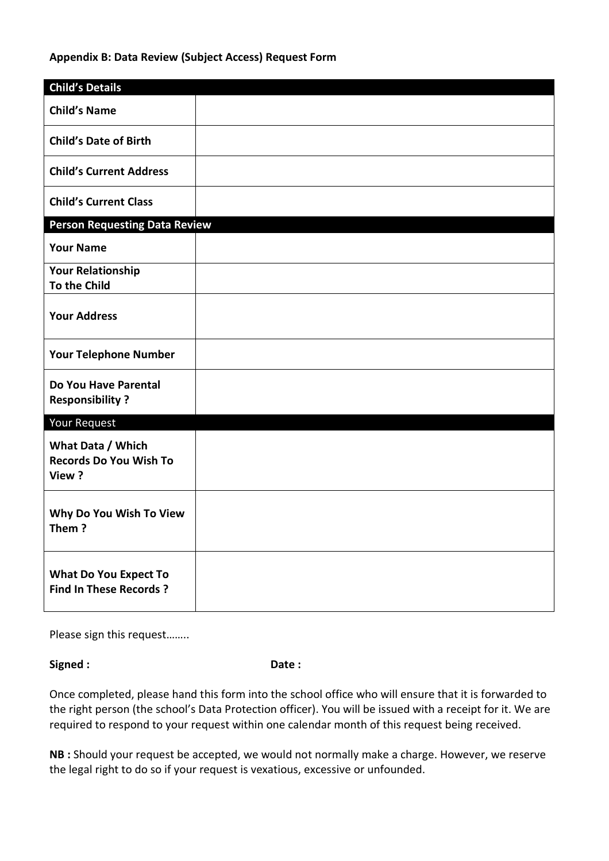#### **Appendix B: Data Review (Subject Access) Request Form**

| <b>Child's Details</b>                                        |  |
|---------------------------------------------------------------|--|
| <b>Child's Name</b>                                           |  |
| <b>Child's Date of Birth</b>                                  |  |
| <b>Child's Current Address</b>                                |  |
| <b>Child's Current Class</b>                                  |  |
| <b>Person Requesting Data Review</b>                          |  |
| <b>Your Name</b>                                              |  |
| <b>Your Relationship</b><br>To the Child                      |  |
|                                                               |  |
| <b>Your Address</b>                                           |  |
| <b>Your Telephone Number</b>                                  |  |
| Do You Have Parental<br><b>Responsibility?</b>                |  |
| <b>Your Request</b>                                           |  |
| What Data / Which<br><b>Records Do You Wish To</b><br>View?   |  |
| Why Do You Wish To View<br>Them?                              |  |
| <b>What Do You Expect To</b><br><b>Find In These Records?</b> |  |

Please sign this request……..

Signed : **Date : Date :** 

Once completed, please hand this form into the school office who will ensure that it is forwarded to the right person (the school's Data Protection officer). You will be issued with a receipt for it. We are required to respond to your request within one calendar month of this request being received.

**NB :** Should your request be accepted, we would not normally make a charge. However, we reserve the legal right to do so if your request is vexatious, excessive or unfounded.